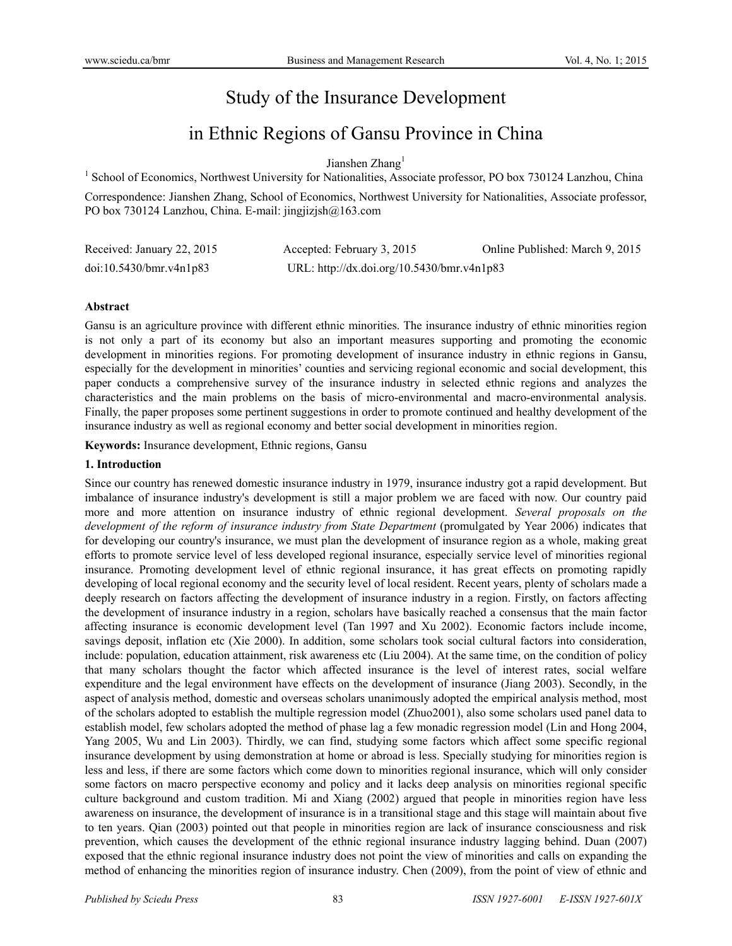# Study of the Insurance Development

# in Ethnic Regions of Gansu Province in China

Jianshen Zhang<sup>1</sup>

<sup>1</sup> School of Economics, Northwest University for Nationalities, Associate professor, PO box 730124 Lanzhou, China Correspondence: Jianshen Zhang, School of Economics, Northwest University for Nationalities, Associate professor, PO box 730124 Lanzhou, China. E-mail: jingjizjsh@163.com

| Received: January 22, 2015 | Accepted: February 3, 2015                 | Online Published: March 9, 2015 |
|----------------------------|--------------------------------------------|---------------------------------|
| doi:10.5430/bmr.v4n1p83    | URL: http://dx.doi.org/10.5430/bmr.v4n1p83 |                                 |

## **Abstract**

Gansu is an agriculture province with different ethnic minorities. The insurance industry of ethnic minorities region is not only a part of its economy but also an important measures supporting and promoting the economic development in minorities regions. For promoting development of insurance industry in ethnic regions in Gansu, especially for the development in minorities' counties and servicing regional economic and social development, this paper conducts a comprehensive survey of the insurance industry in selected ethnic regions and analyzes the characteristics and the main problems on the basis of micro-environmental and macro-environmental analysis. Finally, the paper proposes some pertinent suggestions in order to promote continued and healthy development of the insurance industry as well as regional economy and better social development in minorities region.

**Keywords:** Insurance development, Ethnic regions, Gansu

#### **1. Introduction**

Since our country has renewed domestic insurance industry in 1979, insurance industry got a rapid development. But imbalance of insurance industry's development is still a major problem we are faced with now. Our country paid more and more attention on insurance industry of ethnic regional development. *Several proposals on the development of the reform of insurance industry from State Department* (promulgated by Year 2006) indicates that for developing our country's insurance, we must plan the development of insurance region as a whole, making great efforts to promote service level of less developed regional insurance, especially service level of minorities regional insurance. Promoting development level of ethnic regional insurance, it has great effects on promoting rapidly developing of local regional economy and the security level of local resident. Recent years, plenty of scholars made a deeply research on factors affecting the development of insurance industry in a region. Firstly, on factors affecting the development of insurance industry in a region, scholars have basically reached a consensus that the main factor affecting insurance is economic development level (Tan 1997 and Xu 2002). Economic factors include income, savings deposit, inflation etc (Xie 2000). In addition, some scholars took social cultural factors into consideration, include: population, education attainment, risk awareness etc (Liu 2004). At the same time, on the condition of policy that many scholars thought the factor which affected insurance is the level of interest rates, social welfare expenditure and the legal environment have effects on the development of insurance (Jiang 2003). Secondly, in the aspect of analysis method, domestic and overseas scholars unanimously adopted the empirical analysis method, most of the scholars adopted to establish the multiple regression model (Zhuo2001), also some scholars used panel data to establish model, few scholars adopted the method of phase lag a few monadic regression model (Lin and Hong 2004, Yang 2005, Wu and Lin 2003). Thirdly, we can find, studying some factors which affect some specific regional insurance development by using demonstration at home or abroad is less. Specially studying for minorities region is less and less, if there are some factors which come down to minorities regional insurance, which will only consider some factors on macro perspective economy and policy and it lacks deep analysis on minorities regional specific culture background and custom tradition. Mi and Xiang (2002) argued that people in minorities region have less awareness on insurance, the development of insurance is in a transitional stage and this stage will maintain about five to ten years. Qian (2003) pointed out that people in minorities region are lack of insurance consciousness and risk prevention, which causes the development of the ethnic regional insurance industry lagging behind. Duan (2007) exposed that the ethnic regional insurance industry does not point the view of minorities and calls on expanding the method of enhancing the minorities region of insurance industry. Chen (2009), from the point of view of ethnic and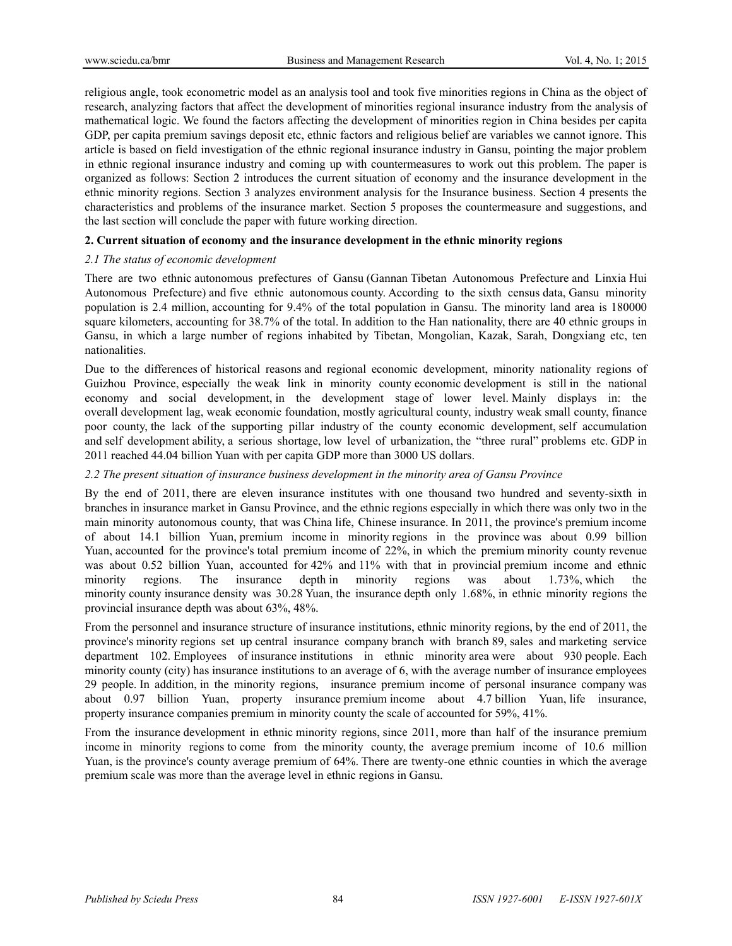religious angle, took econometric model as an analysis tool and took five minorities regions in China as the object of research, analyzing factors that affect the development of minorities regional insurance industry from the analysis of mathematical logic. We found the factors affecting the development of minorities region in China besides per capita GDP, per capita premium savings deposit etc, ethnic factors and religious belief are variables we cannot ignore. This article is based on field investigation of the ethnic regional insurance industry in Gansu, pointing the major problem in ethnic regional insurance industry and coming up with countermeasures to work out this problem. The paper is organized as follows: Section 2 introduces the current situation of economy and the insurance development in the ethnic minority regions. Section 3 analyzes environment analysis for the Insurance business. Section 4 presents the characteristics and problems of the insurance market. Section 5 proposes the countermeasure and suggestions, and the last section will conclude the paper with future working direction.

# **2. Current situation of economy and the insurance development in the ethnic minority regions**

## *2.1 The status of economic development*

There are two ethnic autonomous prefectures of Gansu (Gannan Tibetan Autonomous Prefecture and Linxia Hui Autonomous Prefecture) and five ethnic autonomous county. According to the sixth census data, Gansu minority population is 2.4 million, accounting for 9.4% of the total population in Gansu. The minority land area is 180000 square kilometers, accounting for 38.7% of the total. In addition to the Han nationality, there are 40 ethnic groups in Gansu, in which a large number of regions inhabited by Tibetan, Mongolian, Kazak, Sarah, Dongxiang etc, ten nationalities.

Due to the differences of historical reasons and regional economic development, minority nationality regions of Guizhou Province, especially the weak link in minority county economic development is still in the national economy and social development, in the development stage of lower level. Mainly displays in: the overall development lag, weak economic foundation, mostly agricultural county, industry weak small county, finance poor county, the lack of the supporting pillar industry of the county economic development, self accumulation and self development ability, a serious shortage, low level of urbanization, the "three rural" problems etc. GDP in 2011 reached 44.04 billion Yuan with per capita GDP more than 3000 US dollars.

## *2.2 The present situation of insurance business development in the minority area of Gansu Province*

By the end of 2011, there are eleven insurance institutes with one thousand two hundred and seventy-sixth in branches in insurance market in Gansu Province, and the ethnic regions especially in which there was only two in the main minority autonomous county, that was China life, Chinese insurance. In 2011, the province's premium income of about 14.1 billion Yuan, premium income in minority regions in the province was about 0.99 billion Yuan, accounted for the province's total premium income of 22%, in which the premium minority county revenue was about 0.52 billion Yuan, accounted for 42% and 11% with that in provincial premium income and ethnic minority regions. The insurance depth in minority regions was about 1.73%, which the minority county insurance density was 30.28 Yuan, the insurance depth only 1.68%, in ethnic minority regions the provincial insurance depth was about 63%, 48%.

From the personnel and insurance structure of insurance institutions, ethnic minority regions, by the end of 2011, the province's minority regions set up central insurance company branch with branch 89, sales and marketing service department 102. Employees of insurance institutions in ethnic minority area were about 930 people. Each minority county (city) has insurance institutions to an average of 6, with the average number of insurance employees 29 people. In addition, in the minority regions, insurance premium income of personal insurance company was about 0.97 billion Yuan, property insurance premium income about 4.7 billion Yuan, life insurance, property insurance companies premium in minority county the scale of accounted for 59%, 41%.

From the insurance development in ethnic minority regions, since 2011, more than half of the insurance premium income in minority regions to come from the minority county, the average premium income of 10.6 million Yuan, is the province's county average premium of 64%. There are twenty-one ethnic counties in which the average premium scale was more than the average level in ethnic regions in Gansu.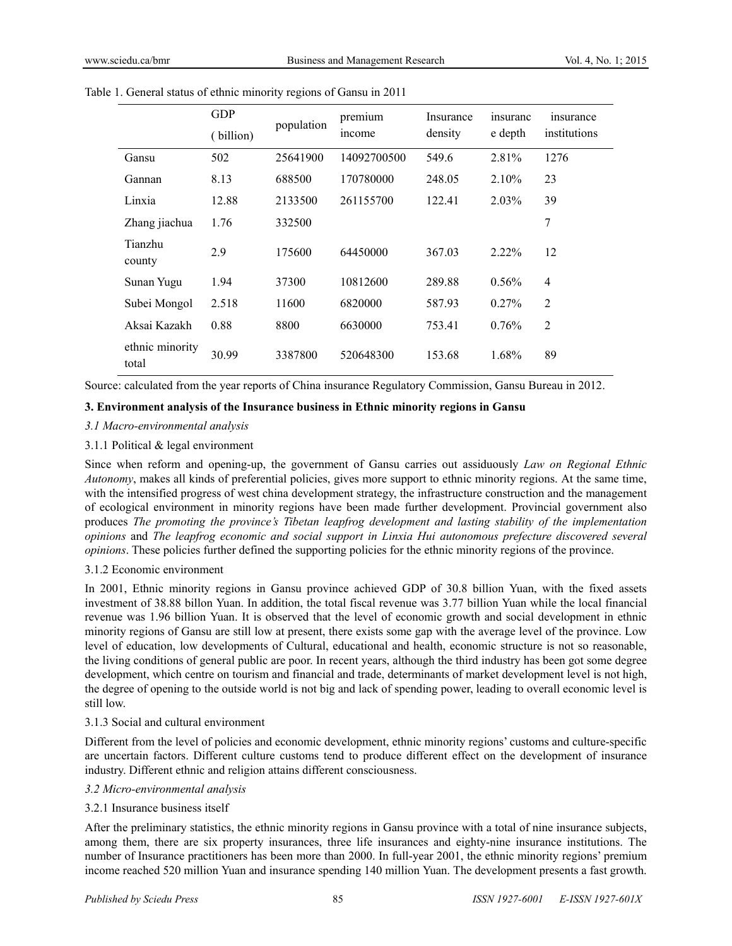|                          | <b>GDP</b> | population | premium     | Insurance | insuranc | insurance      |
|--------------------------|------------|------------|-------------|-----------|----------|----------------|
|                          | (billion)  |            | income      | density   | e depth  | institutions   |
| Gansu                    | 502        | 25641900   | 14092700500 | 549.6     | 2.81%    | 1276           |
| Gannan                   | 8.13       | 688500     | 170780000   | 248.05    | $2.10\%$ | 23             |
| Linxia                   | 12.88      | 2133500    | 261155700   | 122.41    | 2.03%    | 39             |
| Zhang jiachua            | 1.76       | 332500     |             |           |          | 7              |
| Tianzhu<br>county        | 2.9        | 175600     | 64450000    | 367.03    | $2.22\%$ | 12             |
| Sunan Yugu               | 1.94       | 37300      | 10812600    | 289.88    | 0.56%    | $\overline{4}$ |
| Subei Mongol             | 2.518      | 11600      | 6820000     | 587.93    | $0.27\%$ | $\overline{2}$ |
| Aksai Kazakh             | 0.88       | 8800       | 6630000     | 753.41    | 0.76%    | $\overline{2}$ |
| ethnic minority<br>total | 30.99      | 3387800    | 520648300   | 153.68    | 1.68%    | 89             |

Table 1. General status of ethnic minority regions of Gansu in 2011

Source: calculated from the year reports of China insurance Regulatory Commission, Gansu Bureau in 2012.

#### **3. Environment analysis of the Insurance business in Ethnic minority regions in Gansu**

## *3.1 Macro-environmental analysis*

#### 3.1.1 Political & legal environment

Since when reform and opening-up, the government of Gansu carries out assiduously *Law on Regional Ethnic Autonomy*, makes all kinds of preferential policies, gives more support to ethnic minority regions. At the same time, with the intensified progress of west china development strategy, the infrastructure construction and the management of ecological environment in minority regions have been made further development. Provincial government also produces *The promoting the province's Tibetan leapfrog development and lasting stability of the implementation opinions* and *The leapfrog economic and social support in Linxia Hui autonomous prefecture discovered several opinions*. These policies further defined the supporting policies for the ethnic minority regions of the province.

#### 3.1.2 Economic environment

In 2001, Ethnic minority regions in Gansu province achieved GDP of 30.8 billion Yuan, with the fixed assets investment of 38.88 billon Yuan. In addition, the total fiscal revenue was 3.77 billion Yuan while the local financial revenue was 1.96 billion Yuan. It is observed that the level of economic growth and social development in ethnic minority regions of Gansu are still low at present, there exists some gap with the average level of the province. Low level of education, low developments of Cultural, educational and health, economic structure is not so reasonable, the living conditions of general public are poor. In recent years, although the third industry has been got some degree development, which centre on tourism and financial and trade, determinants of market development level is not high, the degree of opening to the outside world is not big and lack of spending power, leading to overall economic level is still low.

# 3.1.3 Social and cultural environment

Different from the level of policies and economic development, ethnic minority regions' customs and culture-specific are uncertain factors. Different culture customs tend to produce different effect on the development of insurance industry. Different ethnic and religion attains different consciousness.

## *3.2 Micro-environmental analysis*

## 3.2.1 Insurance business itself

After the preliminary statistics, the ethnic minority regions in Gansu province with a total of nine insurance subjects, among them, there are six property insurances, three life insurances and eighty-nine insurance institutions. The number of Insurance practitioners has been more than 2000. In full-year 2001, the ethnic minority regions' premium income reached 520 million Yuan and insurance spending 140 million Yuan. The development presents a fast growth.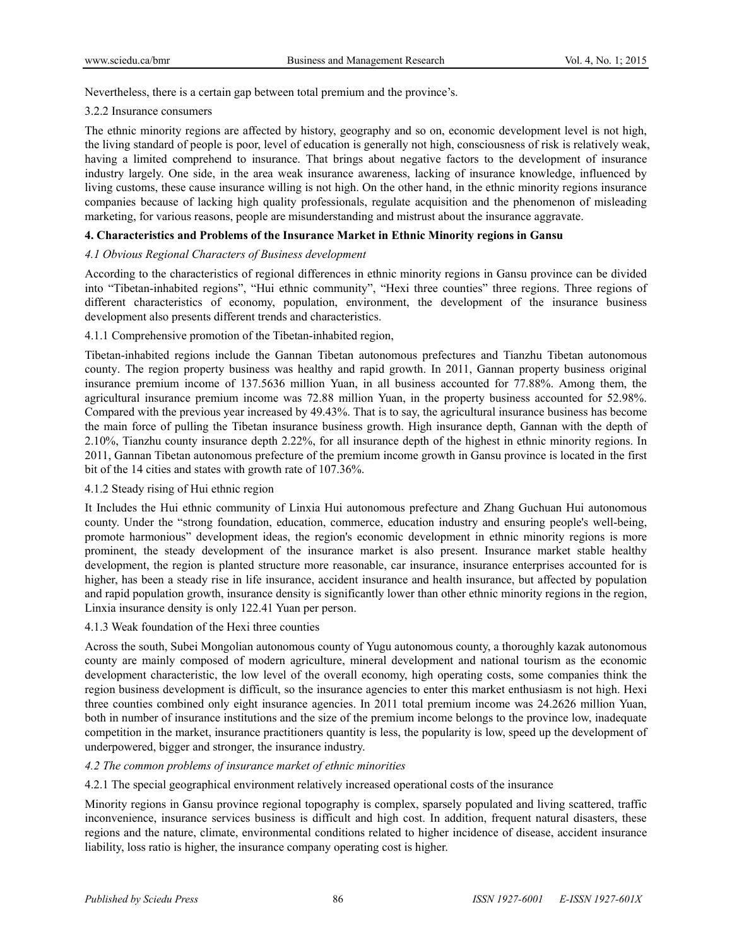Nevertheless, there is a certain gap between total premium and the province's.

#### 3.2.2 Insurance consumers

The ethnic minority regions are affected by history, geography and so on, economic development level is not high, the living standard of people is poor, level of education is generally not high, consciousness of risk is relatively weak, having a limited comprehend to insurance. That brings about negative factors to the development of insurance industry largely. One side, in the area weak insurance awareness, lacking of insurance knowledge, influenced by living customs, these cause insurance willing is not high. On the other hand, in the ethnic minority regions insurance companies because of lacking high quality professionals, regulate acquisition and the phenomenon of misleading marketing, for various reasons, people are misunderstanding and mistrust about the insurance aggravate.

#### **4. Characteristics and Problems of the Insurance Market in Ethnic Minority regions in Gansu**

#### *4.1 Obvious Regional Characters of Business development*

According to the characteristics of regional differences in ethnic minority regions in Gansu province can be divided into "Tibetan-inhabited regions", "Hui ethnic community", "Hexi three counties" three regions. Three regions of different characteristics of economy, population, environment, the development of the insurance business development also presents different trends and characteristics.

## 4.1.1 Comprehensive promotion of the Tibetan-inhabited region,

Tibetan-inhabited regions include the Gannan Tibetan autonomous prefectures and Tianzhu Tibetan autonomous county. The region property business was healthy and rapid growth. In 2011, Gannan property business original insurance premium income of 137.5636 million Yuan, in all business accounted for 77.88%. Among them, the agricultural insurance premium income was 72.88 million Yuan, in the property business accounted for 52.98%. Compared with the previous year increased by 49.43%. That is to say, the agricultural insurance business has become the main force of pulling the Tibetan insurance business growth. High insurance depth, Gannan with the depth of 2.10%, Tianzhu county insurance depth 2.22%, for all insurance depth of the highest in ethnic minority regions. In 2011, Gannan Tibetan autonomous prefecture of the premium income growth in Gansu province is located in the first bit of the 14 cities and states with growth rate of 107.36%.

#### 4.1.2 Steady rising of Hui ethnic region

It Includes the Hui ethnic community of Linxia Hui autonomous prefecture and Zhang Guchuan Hui autonomous county. Under the "strong foundation, education, commerce, education industry and ensuring people's well-being, promote harmonious" development ideas, the region's economic development in ethnic minority regions is more prominent, the steady development of the insurance market is also present. Insurance market stable healthy development, the region is planted structure more reasonable, car insurance, insurance enterprises accounted for is higher, has been a steady rise in life insurance, accident insurance and health insurance, but affected by population and rapid population growth, insurance density is significantly lower than other ethnic minority regions in the region, Linxia insurance density is only 122.41 Yuan per person.

## 4.1.3 Weak foundation of the Hexi three counties

Across the south, Subei Mongolian autonomous county of Yugu autonomous county, a thoroughly kazak autonomous county are mainly composed of modern agriculture, mineral development and national tourism as the economic development characteristic, the low level of the overall economy, high operating costs, some companies think the region business development is difficult, so the insurance agencies to enter this market enthusiasm is not high. Hexi three counties combined only eight insurance agencies. In 2011 total premium income was 24.2626 million Yuan, both in number of insurance institutions and the size of the premium income belongs to the province low, inadequate competition in the market, insurance practitioners quantity is less, the popularity is low, speed up the development of underpowered, bigger and stronger, the insurance industry.

## *4.2 The common problems of insurance market of ethnic minorities*

4.2.1 The special geographical environment relatively increased operational costs of the insurance

Minority regions in Gansu province regional topography is complex, sparsely populated and living scattered, traffic inconvenience, insurance services business is difficult and high cost. In addition, frequent natural disasters, these regions and the nature, climate, environmental conditions related to higher incidence of disease, accident insurance liability, loss ratio is higher, the insurance company operating cost is higher.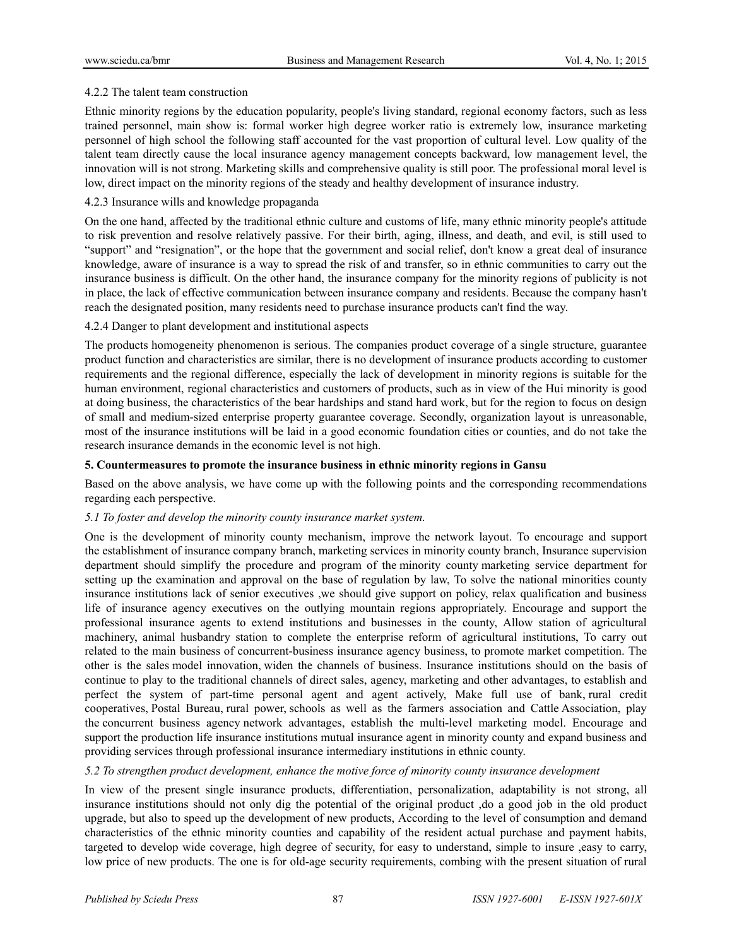## 4.2.2 The talent team construction

Ethnic minority regions by the education popularity, people's living standard, regional economy factors, such as less trained personnel, main show is: formal worker high degree worker ratio is extremely low, insurance marketing personnel of high school the following staff accounted for the vast proportion of cultural level. Low quality of the talent team directly cause the local insurance agency management concepts backward, low management level, the innovation will is not strong. Marketing skills and comprehensive quality is still poor. The professional moral level is low, direct impact on the minority regions of the steady and healthy development of insurance industry.

# 4.2.3 Insurance wills and knowledge propaganda

On the one hand, affected by the traditional ethnic culture and customs of life, many ethnic minority people's attitude to risk prevention and resolve relatively passive. For their birth, aging, illness, and death, and evil, is still used to "support" and "resignation", or the hope that the government and social relief, don't know a great deal of insurance knowledge, aware of insurance is a way to spread the risk of and transfer, so in ethnic communities to carry out the insurance business is difficult. On the other hand, the insurance company for the minority regions of publicity is not in place, the lack of effective communication between insurance company and residents. Because the company hasn't reach the designated position, many residents need to purchase insurance products can't find the way.

# 4.2.4 Danger to plant development and institutional aspects

The products homogeneity phenomenon is serious. The companies product coverage of a single structure, guarantee product function and characteristics are similar, there is no development of insurance products according to customer requirements and the regional difference, especially the lack of development in minority regions is suitable for the human environment, regional characteristics and customers of products, such as in view of the Hui minority is good at doing business, the characteristics of the bear hardships and stand hard work, but for the region to focus on design of small and medium-sized enterprise property guarantee coverage. Secondly, organization layout is unreasonable, most of the insurance institutions will be laid in a good economic foundation cities or counties, and do not take the research insurance demands in the economic level is not high.

# **5. Countermeasures to promote the insurance business in ethnic minority regions in Gansu**

Based on the above analysis, we have come up with the following points and the corresponding recommendations regarding each perspective.

## *5.1 To foster and develop the minority county insurance market system.*

One is the development of minority county mechanism, improve the network layout. To encourage and support the establishment of insurance company branch, marketing services in minority county branch, Insurance supervision department should simplify the procedure and program of the minority county marketing service department for setting up the examination and approval on the base of regulation by law, To solve the national minorities county insurance institutions lack of senior executives ,we should give support on policy, relax qualification and business life of insurance agency executives on the outlying mountain regions appropriately. Encourage and support the professional insurance agents to extend institutions and businesses in the county, Allow station of agricultural machinery, animal husbandry station to complete the enterprise reform of agricultural institutions, To carry out related to the main business of concurrent-business insurance agency business, to promote market competition. The other is the sales model innovation, widen the channels of business. Insurance institutions should on the basis of continue to play to the traditional channels of direct sales, agency, marketing and other advantages, to establish and perfect the system of part-time personal agent and agent actively, Make full use of bank, rural credit cooperatives, Postal Bureau, rural power, schools as well as the farmers association and Cattle Association, play the concurrent business agency network advantages, establish the multi-level marketing model. Encourage and support the production life insurance institutions mutual insurance agent in minority county and expand business and providing services through professional insurance intermediary institutions in ethnic county.

## *5.2 To strengthen product development, enhance the motive force of minority county insurance development*

In view of the present single insurance products, differentiation, personalization, adaptability is not strong, all insurance institutions should not only dig the potential of the original product ,do a good job in the old product upgrade, but also to speed up the development of new products, According to the level of consumption and demand characteristics of the ethnic minority counties and capability of the resident actual purchase and payment habits, targeted to develop wide coverage, high degree of security, for easy to understand, simple to insure ,easy to carry, low price of new products. The one is for old-age security requirements, combing with the present situation of rural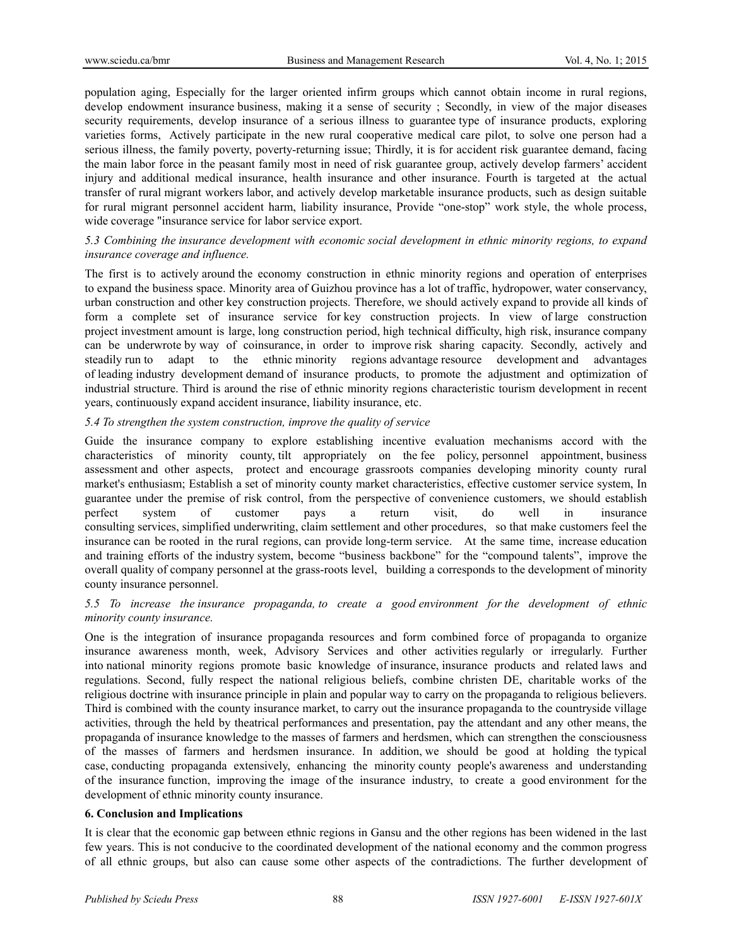population aging, Especially for the larger oriented infirm groups which cannot obtain income in rural regions, develop endowment insurance business, making it a sense of security ; Secondly, in view of the major diseases security requirements, develop insurance of a serious illness to guarantee type of insurance products, exploring varieties forms, Actively participate in the new rural cooperative medical care pilot, to solve one person had a serious illness, the family poverty, poverty-returning issue; Thirdly, it is for accident risk guarantee demand, facing the main labor force in the peasant family most in need of risk guarantee group, actively develop farmers' accident injury and additional medical insurance, health insurance and other insurance. Fourth is targeted at the actual transfer of rural migrant workers labor, and actively develop marketable insurance products, such as design suitable for rural migrant personnel accident harm, liability insurance, Provide "one-stop" work style, the whole process, wide coverage "insurance service for labor service export.

## *5.3 Combining the insurance development with economic social development in ethnic minority regions, to expand insurance coverage and influence.*

The first is to actively around the economy construction in ethnic minority regions and operation of enterprises to expand the business space. Minority area of Guizhou province has a lot of traffic, hydropower, water conservancy, urban construction and other key construction projects. Therefore, we should actively expand to provide all kinds of form a complete set of insurance service for key construction projects. In view of large construction project investment amount is large, long construction period, high technical difficulty, high risk, insurance company can be underwrote by way of coinsurance, in order to improve risk sharing capacity. Secondly, actively and steadily run to adapt to the ethnic minority regions advantage resource development and advantages of leading industry development demand of insurance products, to promote the adjustment and optimization of industrial structure. Third is around the rise of ethnic minority regions characteristic tourism development in recent years, continuously expand accident insurance, liability insurance, etc.

## *5.4 To strengthen the system construction, improve the quality of service*

Guide the insurance company to explore establishing incentive evaluation mechanisms accord with the characteristics of minority county, tilt appropriately on the fee policy, personnel appointment, business assessment and other aspects, protect and encourage grassroots companies developing minority county rural market's enthusiasm; Establish a set of minority county market characteristics, effective customer service system, In guarantee under the premise of risk control, from the perspective of convenience customers, we should establish perfect system of customer pays a return visit, do well in insurance consulting services, simplified underwriting, claim settlement and other procedures, so that make customers feel the insurance can be rooted in the rural regions, can provide long-term service. At the same time, increase education and training efforts of the industry system, become "business backbone" for the "compound talents", improve the overall quality of company personnel at the grass-roots level, building a corresponds to the development of minority county insurance personnel.

## *5.5 To increase the insurance propaganda, to create a good environment for the development of ethnic minority county insurance.*

One is the integration of insurance propaganda resources and form combined force of propaganda to organize insurance awareness month, week, Advisory Services and other activities regularly or irregularly. Further into national minority regions promote basic knowledge of insurance, insurance products and related laws and regulations. Second, fully respect the national religious beliefs, combine christen DE, charitable works of the religious doctrine with insurance principle in plain and popular way to carry on the propaganda to religious believers. Third is combined with the county insurance market, to carry out the insurance propaganda to the countryside village activities, through the held by theatrical performances and presentation, pay the attendant and any other means, the propaganda of insurance knowledge to the masses of farmers and herdsmen, which can strengthen the consciousness of the masses of farmers and herdsmen insurance. In addition, we should be good at holding the typical case, conducting propaganda extensively, enhancing the minority county people's awareness and understanding of the insurance function, improving the image of the insurance industry, to create a good environment for the development of ethnic minority county insurance.

## **6. Conclusion and Implications**

It is clear that the economic gap between ethnic regions in Gansu and the other regions has been widened in the last few years. This is not conducive to the coordinated development of the national economy and the common progress of all ethnic groups, but also can cause some other aspects of the contradictions. The further development of